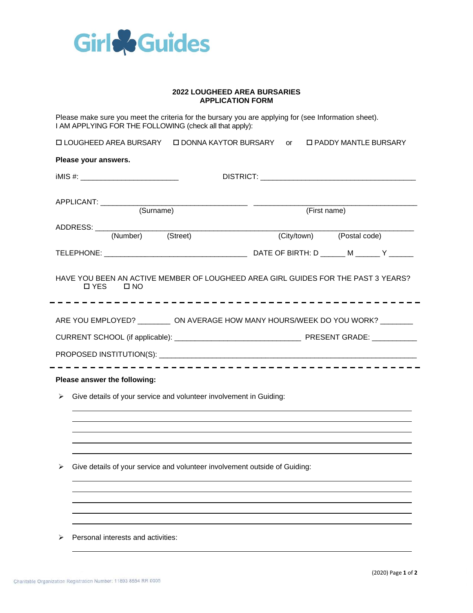

## **2022 LOUGHEED AREA BURSARIES APPLICATION FORM**

Please make sure you meet the criteria for the bursary you are applying for (see Information sheet). I AM APPLYING FOR THE FOLLOWING (check all that apply):

 LOUGHEED AREA BURSARY DONNA KAYTOR BURSARY or PADDY MANTLE BURSARY **Please your answers.** iMIS #: \_\_\_\_\_\_\_\_\_\_\_\_\_\_\_\_\_\_\_\_\_\_\_\_ DISTRICT: \_\_\_\_\_\_\_\_\_\_\_\_\_\_\_\_\_\_\_\_\_\_\_\_\_\_\_\_\_\_\_\_\_\_\_\_\_\_ APPLICANT: \_\_\_\_\_\_\_\_\_\_\_\_\_\_\_\_\_\_\_\_\_\_\_\_\_\_\_\_\_\_\_\_\_\_\_\_ \_\_\_\_\_\_\_\_\_\_\_\_\_\_\_\_\_\_\_\_\_\_\_\_\_\_\_\_\_\_\_\_\_\_\_\_\_\_\_\_ (First name) ADDRESS: \_\_\_\_\_\_\_\_\_\_\_\_\_\_\_\_\_\_\_\_\_\_\_\_\_\_\_\_\_\_\_\_\_\_\_\_\_\_\_\_\_\_\_\_\_\_\_\_\_\_\_\_\_\_\_\_\_\_\_\_\_\_\_\_\_\_\_\_\_\_\_\_\_\_\_\_\_\_ (City/town) (Postal code) TELEPHONE: \_\_\_\_\_\_\_\_\_\_\_\_\_\_\_\_\_\_\_\_\_\_\_\_\_\_\_\_\_\_\_\_\_\_\_ DATE OF BIRTH: D \_\_\_\_\_\_ M \_\_\_\_\_\_ Y \_\_\_\_\_\_ HAVE YOU BEEN AN ACTIVE MEMBER OF LOUGHEED AREA GIRL GUIDES FOR THE PAST 3 YEARS?

YES NO

ARE YOU EMPLOYED? \_\_\_\_\_\_\_\_\_ ON AVERAGE HOW MANY HOURS/WEEK DO YOU WORK? \_\_\_\_\_\_\_\_

CURRENT SCHOOL (if applicable): \_\_\_\_\_\_\_\_\_\_\_\_\_\_\_\_\_\_\_\_\_\_\_\_\_\_\_\_\_\_\_ PRESENT GRADE: \_\_\_\_\_\_\_\_\_\_\_

PROPOSED INSTITUTION(S): **with a set of the set of the set of the set of the set of the set of the set of the set of the set of the set of the set of the set of the set of the set of the set of the set of the set of the se** 

## **Please answer the following:**

➢ Give details of your service and volunteer involvement in Guiding:

 $\triangleright$  Give details of your service and volunteer involvement outside of Guiding:

➢ Personal interests and activities: